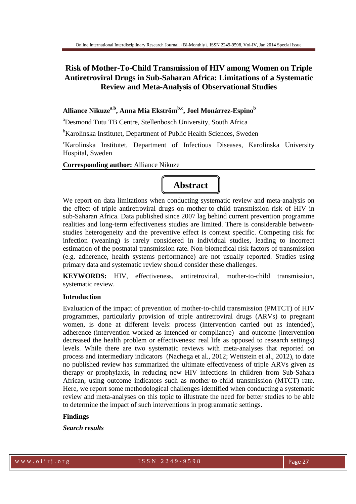## **Risk of Mother-To-Child Transmission of HIV among Women on Triple Antiretroviral Drugs in Sub-Saharan Africa: Limitations of a Systematic Review and Meta-Analysis of Observational Studies**

### **Alliance Nikuzea,b, Anna Mia Ekstrӧm b,c, Joel Monárrez-Espino<sup>b</sup>**

<sup>a</sup>Desmond Tutu TB Centre, Stellenbosch University, South Africa

<sup>b</sup>Karolinska Institutet, Department of Public Health Sciences, Sweden

<sup>c</sup>Karolinska Institutet, Department of Infectious Diseases, Karolinska University Hospital, Sweden

**Corresponding author:** Alliance Nikuze

# **Abstract**

We report on data limitations when conducting systematic review and meta-analysis on the effect of triple antiretroviral drugs on mother-to-child transmission risk of HIV in sub-Saharan Africa. Data published since 2007 lag behind current prevention programme realities and long-term effectiveness studies are limited. There is considerable betweenstudies heterogeneity and the preventive effect is context specific. Competing risk for infection (weaning) is rarely considered in individual studies, leading to incorrect estimation of the postnatal transmission rate. Non-biomedical risk factors of transmission (e.g. adherence, health systems performance) are not usually reported. Studies using primary data and systematic review should consider these challenges.

**KEYWORDS:** HIV, effectiveness, antiretroviral, mother-to-child transmission, systematic review.

#### **Introduction**

Evaluation of the impact of prevention of mother-to-child transmission (PMTCT) of HIV programmes, particularly provision of triple antiretroviral drugs (ARVs) to pregnant women, is done at different levels: process (intervention carried out as intended), adherence (intervention worked as intended or compliance) and outcome (intervention decreased the health problem or effectiveness: real life as opposed to research settings) levels. While there are two systematic reviews with meta-analyses that reported on process and intermediary indicators (Nachega et al., 2012; Wettstein et al., 2012), to date no published review has summarized the ultimate effectiveness of triple ARVs given as therapy or prophylaxis, in reducing new HIV infections in children from Sub-Sahara African, using outcome indicators such as mother-to-child transmission (MTCT) rate. Here, we report some methodological challenges identified when conducting a systematic review and meta-analyses on this topic to illustrate the need for better studies to be able to determine the impact of such interventions in programmatic settings.

#### **Findings**

*Search results*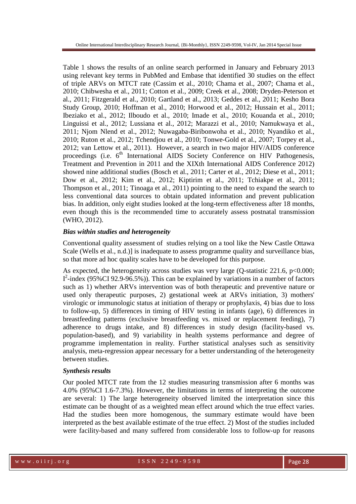Table 1 shows the results of an online search performed in January and February 2013 using relevant key terms in PubMed and Embase that identified 30 studies on the effect of triple ARVs on MTCT rate (Cassim et al., 2010; Chama et al., 2007; Chama et al., 2010; Chibwesha et al., 2011; Cotton et al., 2009; Creek et al., 2008; Dryden-Peterson et al., 2011; Fitzgerald et al., 2010; Gartland et al., 2013; Geddes et al., 2011; Kesho Bora Study Group, 2010; Hoffman et al., 2010; Horwood et al., 2012; Hussain et al., 2011; Ibeziako et al., 2012; Ilboudo et al., 2010; Imade et al., 2010; Kouanda et al., 2010; Linguissi et al., 2012; Lussiana et al., 2012; Marazzi et al., 2010; Namukwaya et al., 2011; Njom Nlend et al., 2012; Nuwagaba-Biribonwoha et al., 2010; Nyandiko et al., 2010; Ruton et al., 2012; Tchendjou et al., 2010; Tonwe-Gold et al., 2007; Torpey et al., 2012; van Lettow et al., 2011). However, a search in two major HIV/AIDS conference proceedings (i.e.  $6<sup>th</sup>$  International AIDS Society Conference on HIV Pathogenesis, Treatment and Prevention in 2011 and the XIXth International AIDS Conference 2012) showed nine additional studies (Bosch et al., 2011; Carter et al., 2012; Diese et al., 2011; Dow et al., 2012; Kim et al., 2012; Kiptirim et al., 2011; Tchiakpe et al., 2011; Thompson et al., 2011; Tinoaga et al., 2011) pointing to the need to expand the search to less conventional data sources to obtain updated information and prevent publication bias. In addition, only eight studies looked at the long-term effectiveness after 18 months, even though this is the recommended time to accurately assess postnatal transmission (WHO, 2012).

#### *Bias within studies and heterogeneity*

Conventional quality assessment of studies relying on a tool like the New Castle Ottawa Scale (Wells et al., n.d.)] is inadequate to assess programme quality and surveillance bias, so that more ad hoc quality scales have to be developed for this purpose.

As expected, the heterogeneity across studies was very large (Q-statistic 221.6, p<0.000;  $I^2$ -index (95%CI 92.9-96.5%)). This can be explained by variations in a number of factors such as 1) whether ARVs intervention was of both therapeutic and preventive nature or used only therapeutic purposes, 2) gestational week at ARVs initiation, 3) mothers' virologic or immunologic status at initiation of therapy or prophylaxis, 4) bias due to loss to follow-up, 5) differences in timing of HIV testing in infants (age), 6) differences in breastfeeding patterns (exclusive breastfeeding vs. mixed or replacement feeding), 7) adherence to drugs intake, and 8) differences in study design (facility-based vs. population-based), and 9) variability in health systems performance and degree of programme implementation in reality. Further statistical analyses such as sensitivity analysis, meta-regression appear necessary for a better understanding of the heterogeneity between studies.

#### *Synthesis results*

Our pooled MTCT rate from the 12 studies measuring transmission after 6 months was 4.0% (95%CI 1.6-7.3%). However, the limitations in terms of interpreting the outcome are several: 1) The large heterogeneity observed limited the interpretation since this estimate can be thought of as a weighted mean effect around which the true effect varies. Had the studies been more homogenous, the summary estimate would have been interpreted as the best available estimate of the true effect. 2) Most of the studies included were facility-based and many suffered from considerable loss to follow-up for reasons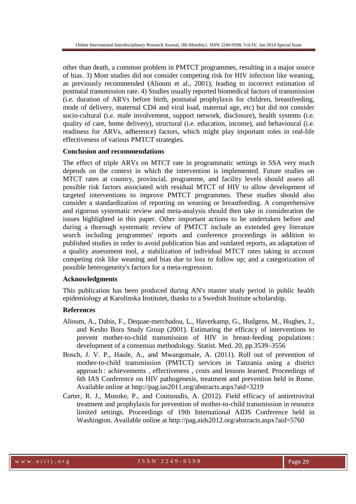other than death, a common problem in PMTCT programmes, resulting in a major source of bias. 3) Most studies did not consider competing risk for HIV infection like weaning, as previously recommended (Alioum et al., 2001), leading to incorrect estimation of postnatal transmission rate. 4) Studies usually reported biomedical factors of transmission (i.e. duration of ARVs before birth, postnatal prophylaxis for children, breastfeeding, mode of delivery, maternal CD4 and viral load, maternal age, etc) but did not consider socio-cultural (i.e. male involvement, support network, disclosure), health systems (i.e. quality of care, home delivery), structural (i.e. education, income), and behavioural (i.e. readiness for ARVs, adherence) factors, which might play important roles in real-life effectiveness of various PMTCT strategies.

#### **Conclusion and recommendations**

The effect of triple ARVs on MTCT rate in programmatic settings in SSA very much depends on the context in which the intervention is implemented. Future studies on MTCT rates at country, provincial, programme, and facility levels should assess all possible risk factors associated with residual MTCT of HIV to allow development of targeted interventions to improve PMTCT programmes. These studies should also consider a standardization of reporting on weaning or breastfeeding. A comprehensive and rigorous systematic review and meta-analysis should then take in consideration the issues highlighted in this paper. Other important actions to be undertaken before and during a thorough systematic review of PMTCT include an extended grey literature search including programmes' reports and conference proceedings in addition to published studies in order to avoid publication bias and outdated reports, an adaptation of a quality assessment tool, a stabilization of individual MTCT rates taking in account competing risk like weaning and bias due to loss to follow up; and a categorization of possible heterogeneity's factors for a meta-regression.

#### **Acknowledgments**

This publication has been produced during AN's master study period in public health epidemiology at Karolinska Institutet, thanks to a Swedish Institute scholarship.

#### **References**

- Alioum, A., Dabis, F., Dequae-merchadou, L., Haverkamp, G., Hudgens, M., Hughes, J., and Kesho Bora Study Group (2001). Estimating the efficacy of interventions to prevent mother-to-child transmission of HIV in breast-feeding populations : development of a consensus methodology. Statist. Med. 20, pp.3539–3556
- Bosch, J. V. P., Haule, A., and Mwangomale, A. (2011). Roll out of prevention of mother-to-child transmission (PMTCT) services in Tanzania using a district approach : achievements , effectiveness , costs and lessons learned. Proceedings of 6th IAS Conference on HIV pathogenesis, treatment and prevention held in Rome. Available online at http://pag.ias2011.org/abstracts.aspx?aid=3219
- Carter, R. J., Musoke, P., and Coutsoudis, A. (2012). Field efficacy of antiretroviral treatment and prophylaxis for prevention of mother-to-child transmission in resource limited settings. Proceedings of 19th International AIDS Conference held in Washington. Available online at http://pag.aids2012.org/abstracts.aspx?aid=5760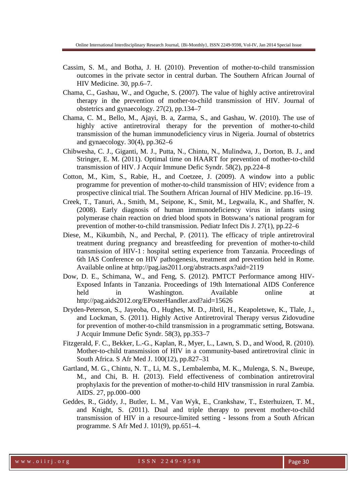- Cassim, S. M., and Botha, J. H. (2010). Prevention of mother-to-child transmission outcomes in the private sector in central durban. The Southern African Journal of HIV Medicine. 30, pp.6–7.
- Chama, C., Gashau, W., and Oguche, S. (2007). The value of highly active antiretroviral therapy in the prevention of mother-to-child transmission of HIV. Journal of obstetrics and gynaecology. 27(2), pp.134–7
- Chama, C. M., Bello, M., Ajayi, B. a, Zarma, S., and Gashau, W. (2010). The use of highly active antiretroviral therapy for the prevention of mother-to-child transmission of the human immunodeficiency virus in Nigeria. Journal of obstetrics and gynaecology.  $30(4)$ , pp. $362-6$
- Chibwesha, C. J., Giganti, M. J., Putta, N., Chintu, N., Mulindwa, J., Dorton, B. J., and Stringer, E. M. (2011). Optimal time on HAART for prevention of mother-to-child transmission of HIV. J Acquir Immune Defic Syndr. 58(2), pp.224–8
- Cotton, M., Kim, S., Rabie, H., and Coetzee, J. (2009). A window into a public programme for prevention of mother-to-child transmission of HIV; evidence from a prospective clinical trial. The Southern African Journal of HIV Medicine. pp.16–19.
- Creek, T., Tanuri, A., Smith, M., Seipone, K., Smit, M., Legwaila, K., and Shaffer, N. (2008). Early diagnosis of human immunodeficiency virus in infants using polymerase chain reaction on dried blood spots in Botswana's national program for prevention of mother-to-child transmission. Pediatr Infect Dis J. 27(1), pp.22–6
- Diese, M., Kikumbih, N., and Perchal, P. (2011). The efficacy of triple antiretroviral treatment during pregnancy and breastfeeding for prevention of mother-to-child transmission of HIV-1 : hospital setting experience from Tanzania. Proceedings of 6th IAS Conference on HIV pathogenesis, treatment and prevention held in Rome. Available online at http://pag.ias2011.org/abstracts.aspx?aid=2119
- Dow, D. E., Schimana, W., and Feng, S. (2012). PMTCT Performance among HIV-Exposed Infants in Tanzania. Proceedings of 19th International AIDS Conference held in Washington. Available online at http://pag.aids2012.org/EPosterHandler.axd?aid=15626
- Dryden-Peterson, S., Jayeoba, O., Hughes, M. D., Jibril, H., Keapoletswe, K., Tlale, J., and Lockman, S. (2011). Highly Active Antiretroviral Therapy versus Zidovudine for prevention of mother-to-child transmission in a programmatic setting, Botswana. J Acquir Immune Defic Syndr. 58(3), pp.353–7
- Fitzgerald, F. C., Bekker, L.-G., Kaplan, R., Myer, L., Lawn, S. D., and Wood, R. (2010). Mother-to-child transmission of HIV in a community-based antiretroviral clinic in South Africa. S Afr Med J. 100(12), pp.827–31
- Gartland, M. G., Chintu, N. T., Li, M. S., Lembalemba, M. K., Mulenga, S. N., Bweupe, M., and Chi, B. H. (2013). Field effectiveness of combination antiretroviral prophylaxis for the prevention of mother-to-child HIV transmission in rural Zambia. AIDS. 27, pp.000–000
- Geddes, R., Giddy, J., Butler, L. M., Van Wyk, E., Crankshaw, T., Esterhuizen, T. M., and Knight, S. (2011). Dual and triple therapy to prevent mother-to-child transmission of HIV in a resource-limited setting - lessons from a South African programme. S Afr Med J. 101(9), pp.651–4.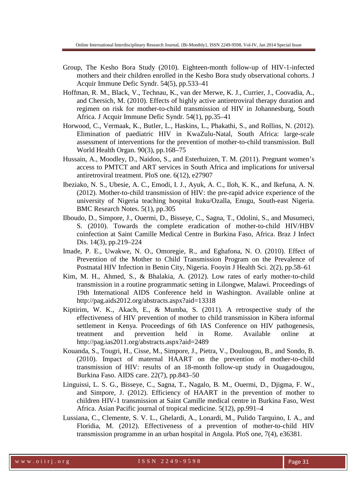- Group, The Kesho Bora Study (2010). Eighteen-month follow-up of HIV-1-infected mothers and their children enrolled in the Kesho Bora study observational cohorts. J Acquir Immune Defic Syndr. 54(5), pp.533–41
- Hoffman, R. M., Black, V., Technau, K., van der Merwe, K. J., Currier, J., Coovadia, A., and Chersich, M. (2010). Effects of highly active antiretroviral therapy duration and regimen on risk for mother-to-child transmission of HIV in Johannesburg, South Africa. J Acquir Immune Defic Syndr. 54(1), pp.35–41
- Horwood, C., Vermaak, K., Butler, L., Haskins, L., Phakathi, S., and Rollins, N. (2012). Elimination of paediatric HIV in KwaZulu-Natal, South Africa: large-scale assessment of interventions for the prevention of mother-to-child transmission. Bull World Health Organ. 90(3), pp.168–75
- Hussain, A., Moodley, D., Naidoo, S., and Esterhuizen, T. M. (2011). Pregnant women's access to PMTCT and ART services in South Africa and implications for universal antiretroviral treatment. PloS one. 6(12), e27907
- Ibeziako, N. S., Ubesie, A. C., Emodi, I. J., Ayuk, A. C., Iloh, K. K., and Ikefuna, A. N. (2012). Mother-to-child transmission of HIV: the pre-rapid advice experience of the university of Nigeria teaching hospital Ituku/Ozalla, Enugu, South-east Nigeria. BMC Research Notes. 5(1), pp.305
- Ilboudo, D., Simpore, J., Ouermi, D., Bisseye, C., Sagna, T., Odolini, S., and Musumeci, S. (2010). Towards the complete eradication of mother-to-child HIV/HBV coinfection at Saint Camille Medical Centre in Burkina Faso, Africa. Braz J Infect Dis. 14(3), pp.219–224
- Imade, P. E., Uwakwe, N. O., Omoregie, R., and Eghafona, N. O. (2010). Effect of Prevention of the Mother to Child Transmission Program on the Prevalence of Postnatal HIV Infection in Benin City, Nigeria. Fooyin J Health Sci. 2(2), pp.58–61
- Kim, M. H., Ahmed, S., & Bhalakia, A. (2012). Low rates of early mother-to-child transmission in a routine programmatic setting in Lilongwe, Malawi. Proceedings of 19th International AIDS Conference held in Washington. Available online at http://pag.aids2012.org/abstracts.aspx?aid=13318
- Kiptirim, W. K., Akach, E., & Mumba, S. (2011). A retrospective study of the effectiveness of HIV prevention of mother to child transmission in Kibera informal settlement in Kenya. Proceedings of 6th IAS Conference on HIV pathogenesis, treatment and prevention held in Rome. Available online at http://pag.ias2011.org/abstracts.aspx?aid=2489
- Kouanda, S., Tougri, H., Cisse, M., Simpore, J., Pietra, V., Doulougou, B., and Sondo, B. (2010). Impact of maternal HAART on the prevention of mother-to-child transmission of HIV: results of an 18-month follow-up study in Ouagadougou, Burkina Faso. AIDS care. 22(7), pp.843–50
- Linguissi, L. S. G., Bisseye, C., Sagna, T., Nagalo, B. M., Ouermi, D., Djigma, F. W., and Simpore, J. (2012). Efficiency of HAART in the prevention of mother to children HIV-1 transmission at Saint Camille medical centre in Burkina Faso, West Africa. Asian Pacific journal of tropical medicine. 5(12), pp.991–4
- Lussiana, C., Clemente, S. V. L., Ghelardi, A., Lonardi, M., Pulido Tarquino, I. A., and Floridia, M. (2012). Effectiveness of a prevention of mother-to-child HIV transmission programme in an urban hospital in Angola. PloS one, 7(4), e36381.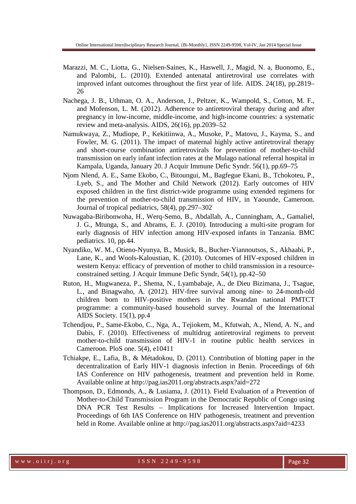- Marazzi, M. C., Liotta, G., Nielsen-Saines, K., Haswell, J., Magid, N. a, Buonomo, E., and Palombi, L. (2010). Extended antenatal antiretroviral use correlates with improved infant outcomes throughout the first year of life. AIDS. 24(18), pp.2819– 26
- Nachega, J. B., Uthman, O. A., Anderson, J., Peltzer, K., Wampold, S., Cotton, M. F., and Mofenson, L. M. (2012). Adherence to antiretroviral therapy during and after pregnancy in low-income, middle-income, and high-income countries: a systematic review and meta-analysis. AIDS, 26(16), pp.2039–52
- Namukwaya, Z., Mudiope, P., Kekitiinwa, A., Musoke, P., Matovu, J., Kayma, S., and Fowler, M. G. (2011). The impact of maternal highly active antiretroviral therapy and short-course combination antiretrovirals for prevention of mother-to-child transmission on early infant infection rates at the Mulago national referral hospital in Kampala, Uganda, January 20. J Acquir Immune Defic Syndr. 56(1), pp.69–75
- Njom Nlend, A. E., Same Ekobo, C., Bitoungui, M., Bagfegue Ekani, B., Tchokoteu, P., Lyeb, S., and The Mother and Child Network (2012). Early outcomes of HIV exposed children in the first district-wide programme using extended regimens for the prevention of mother-to-child transmission of HIV, in Yaounde, Cameroon. Journal of tropical pediatrics, 58(4), pp.297–302
- Nuwagaba-Biribonwoha, H., Werq-Semo, B., Abdallah, A., Cunningham, A., Gamaliel, J. G., Mtunga, S., and Abrams, E. J. (2010). Introducing a multi-site program for early diagnosis of HIV infection among HIV-exposed infants in Tanzania. BMC pediatrics. 10, pp.44.
- Nyandiko, W. M., Otieno-Nyunya, B., Musick, B., Bucher-Yiannoutsos, S., Akhaabi, P., Lane, K., and Wools-Kaloustian, K. (2010). Outcomes of HIV-exposed children in western Kenya: efficacy of prevention of mother to child transmission in a resourceconstrained setting. J Acquir Immune Defic Syndr, 54(1), pp.42–50
- Ruton, H., Mugwaneza, P., Shema, N., Lyambabaje, A., de Dieu Bizimana, J., Tsague, L., and Binagwaho, A. (2012). HIV-free survival among nine- to 24-month-old children born to HIV-positive mothers in the Rwandan national PMTCT programme: a community-based household survey. Journal of the International AIDS Society. 15(1), pp.4
- Tchendjou, P., Same-Ekobo, C., Nga, A., Tejiokem, M., Kfutwah, A., Nlend, A. N., and Dabis, F. (2010). Effectiveness of multidrug antiretroviral regimens to prevent mother-to-child transmission of HIV-1 in routine public health services in Cameroon. PloS one. 5(4), e10411
- Tchiakpe, E., Lafia, B., & Métadokou, D. (2011). Contribution of blotting paper in the decentralization of Early HIV-1 diagnosis infection in Benin. Proceedings of 6th IAS Conference on HIV pathogenesis, treatment and prevention held in Rome. Available online at http://pag.ias2011.org/abstracts.aspx?aid=272
- Thompson, D., Edmonds, A., & Lusiama, J. (2011). Field Evaluation of a Prevention of Mother-to-Child Transmission Program in the Democratic Republic of Congo using DNA PCR Test Results – Implications for Increased Intervention Impact. Proceedings of 6th IAS Conference on HIV pathogenesis, treatment and prevention held in Rome. Available online at http://pag.ias2011.org/abstracts.aspx?aid=4233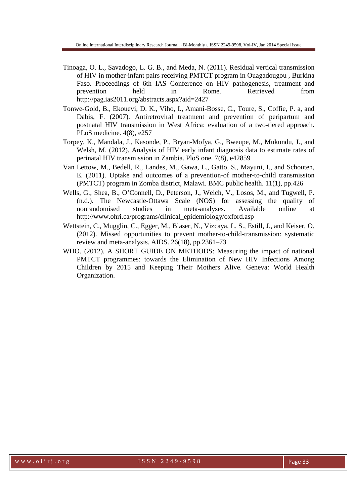- Tinoaga, O. L., Savadogo, L. G. B., and Meda, N. (2011). Residual vertical transmission of HIV in mother-infant pairs receiving PMTCT program in Ouagadougou , Burkina Faso. Proceedings of 6th IAS Conference on HIV pathogenesis, treatment and prevention held in Rome. Retrieved from http://pag.ias2011.org/abstracts.aspx?aid=2427
- Tonwe-Gold, B., Ekouevi, D. K., Viho, I., Amani-Bosse, C., Toure, S., Coffie, P. a, and Dabis, F. (2007). Antiretroviral treatment and prevention of peripartum and postnatal HIV transmission in West Africa: evaluation of a two-tiered approach. PLoS medicine. 4(8), e257
- Torpey, K., Mandala, J., Kasonde, P., Bryan-Mofya, G., Bweupe, M., Mukundu, J., and Welsh, M. (2012). Analysis of HIV early infant diagnosis data to estimate rates of perinatal HIV transmission in Zambia. PloS one. 7(8), e42859
- Van Lettow, M., Bedell, R., Landes, M., Gawa, L., Gatto, S., Mayuni, I., and Schouten, E. (2011). Uptake and outcomes of a prevention-of mother-to-child transmission (PMTCT) program in Zomba district, Malawi. BMC public health. 11(1), pp.426
- Wells, G., Shea, B., O'Connell, D., Peterson, J., Welch, V., Losos, M., and Tugwell, P. (n.d.). The Newcastle-Ottawa Scale (NOS) for assessing the quality of nonrandomised studies in meta-analyses. Available online at http://www.ohri.ca/programs/clinical\_epidemiology/oxford.asp
- Wettstein, C., Mugglin, C., Egger, M., Blaser, N., Vizcaya, L. S., Estill, J., and Keiser, O. (2012). Missed opportunities to prevent mother-to-child-transmission: systematic review and meta-analysis. AIDS. 26(18), pp.2361–73
- WHO. (2012). A SHORT GUIDE ON METHODS: Measuring the impact of national PMTCT programmes: towards the Elimination of New HIV Infections Among Children by 2015 and Keeping Their Mothers Alive. Geneva: World Health Organization.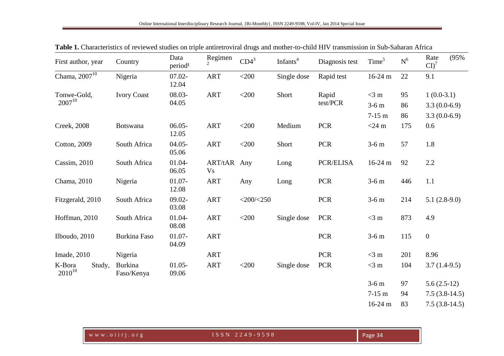| First author, year              | Country                      | Data<br>period <sup>1</sup> | Regimen                  | $CD4^3$          | Infants <sup>4</sup> | Diagnosis test    | Time <sup>5</sup> | $\mbox{N}^6$ | (95%<br>Rate<br>$CD^7$ |
|---------------------------------|------------------------------|-----------------------------|--------------------------|------------------|----------------------|-------------------|-------------------|--------------|------------------------|
| Chama, 2007 <sup>10</sup>       | Nigeria                      | $07.02 -$<br>12.04          | ART                      | $<$ 200          | Single dose          | Rapid test        | $16-24 \text{ m}$ | 22           | 9.1                    |
| Tonwe-Gold,<br>$2007^{10}$      | <b>Ivory Coast</b>           | 08.03-                      | <b>ART</b>               | $<$ 200 $\,$     | Short                | Rapid<br>test/PCR | $<$ 3 m           | 95           | $1(0.0-3.1)$           |
|                                 |                              | 04.05                       |                          |                  |                      |                   | $3-6m$            | 86           | $3.3(0.0-6.9)$         |
|                                 |                              |                             |                          |                  |                      |                   | $7-15$ m          | 86           | $3.3(0.0-6.9)$         |
| <b>Creek</b> , 2008             | Botswana                     | $06.05 -$<br>12.05          | ART                      | $<$ 200 $\,$     | Medium               | PCR               | $<$ 24 m          | 175          | 0.6                    |
| Cotton, 2009                    | South Africa                 | $04.05 -$<br>05.06          | <b>ART</b>               | $<$ 200          | Short                | <b>PCR</b>        | $3-6$ m           | 57           | 1.8                    |
| Cassim, 2010                    | South Africa                 | 01.04-<br>06.05             | ART/tAR Any<br><b>Vs</b> |                  | Long                 | PCR/ELISA         | $16-24$ m         | 92           | 2.2                    |
| Chama, 2010                     | Nigeria                      | $01.07 -$<br>12.08          | <b>ART</b>               | Any              | Long                 | PCR               | $3-6m$            | 446          | 1.1                    |
| Fitzgerald, 2010                | South Africa                 | 09.02-<br>03.08             | <b>ART</b>               | $<$ 200/ $<$ 250 |                      | <b>PCR</b>        | $3-6m$            | 214          | $5.1(2.8-9.0)$         |
| Hoffman, 2010                   | South Africa                 | 01.04-<br>08.08             | <b>ART</b>               | $<$ 200          | Single dose          | <b>PCR</b>        | $<$ 3 m           | 873          | 4.9                    |
| Ilboudo, 2010                   | <b>Burkina Faso</b>          | $01.07 -$<br>04.09          | <b>ART</b>               |                  |                      | PCR               | $3-6$ m           | 115          | $\boldsymbol{0}$       |
| Imade, 2010                     | Nigeria                      |                             | <b>ART</b>               |                  |                      | <b>PCR</b>        | $<$ 3 m           | 201          | 8.96                   |
| K-Bora<br>Study,<br>$2010^{10}$ | <b>Burkina</b><br>Faso/Kenya | $01.05 -$<br>09.06          | <b>ART</b>               | $<$ 200          | Single dose          | <b>PCR</b>        | $<$ 3 m           | 104          | $3.7(1.4-9.5)$         |
|                                 |                              |                             |                          |                  |                      |                   | $3-6m$            | 97           | $5.6(2.5-12)$          |
|                                 |                              |                             |                          |                  |                      |                   | $7-15$ m          | 94           | $7.5(3.8-14.5)$        |
|                                 |                              |                             |                          |                  |                      |                   | $16-24$ m         | 83           | $7.5(3.8-14.5)$        |

**Table 1.** Characteristics of reviewed studies on triple antiretroviral drugs and mother-to-child HIV transmission in Sub-Saharan Africa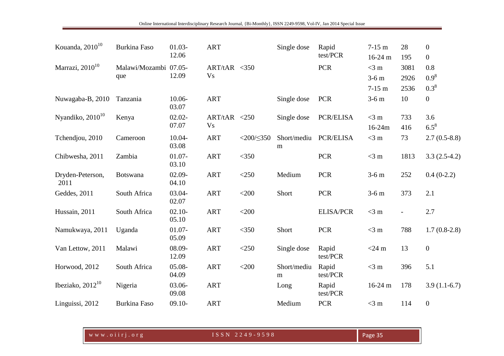| Kouanda, $2010^{10}$     | Burkina Faso                 | $01.03 -$<br>12.06 | <b>ART</b>                 |                     | Single dose              | Rapid<br>test/PCR | $7-15$ m<br>$16-24$ m         | 28<br>195            | $\boldsymbol{0}$<br>$\boldsymbol{0}$ |
|--------------------------|------------------------------|--------------------|----------------------------|---------------------|--------------------------|-------------------|-------------------------------|----------------------|--------------------------------------|
| Marrazi, $2010^{10}$     | Malawi/Mozambi 07.05-<br>que | 12.09              | ART/tAR < 350<br><b>Vs</b> |                     |                          | <b>PCR</b>        | $<$ 3 m<br>$3-6m$<br>$7-15$ m | 3081<br>2926<br>2536 | 0.8<br>$0.9^8$<br>$0.3^8$            |
| Nuwagaba-B, 2010         | Tanzania                     | 10.06-<br>03.07    | <b>ART</b>                 |                     | Single dose              | <b>PCR</b>        | $3-6m$                        | 10                   | $\boldsymbol{0}$                     |
| Nyandiko, $2010^{10}$    | Kenya                        | $02.02 -$<br>07.07 | ART/tAR < 250<br><b>Vs</b> |                     | Single dose              | <b>PCR/ELISA</b>  | $<$ 3 m<br>$16 - 24m$         | 733<br>416           | 3.6<br>$6.5^8$                       |
| Tchendjou, 2010          | Cameroon                     | 10.04-<br>03.08    | <b>ART</b>                 | $<$ 200/ $\leq$ 350 | Short/mediu<br>${\rm m}$ | PCR/ELISA         | $<$ 3 m                       | 73                   | $2.7(0.5-8.8)$                       |
| Chibwesha, 2011          | Zambia                       | $01.07 -$<br>03.10 | <b>ART</b>                 | $<$ 350             |                          | <b>PCR</b>        | $<$ 3 m                       | 1813                 | $3.3(2.5-4.2)$                       |
| Dryden-Peterson,<br>2011 | <b>Botswana</b>              | $02.09 -$<br>04.10 | <b>ART</b>                 | $<$ 250             | Medium                   | <b>PCR</b>        | $3-6m$                        | 252                  | $0.4(0-2.2)$                         |
| Geddes, 2011             | South Africa                 | 03.04-<br>02.07    | <b>ART</b>                 | $<$ 200             | Short                    | <b>PCR</b>        | $3-6m$                        | 373                  | 2.1                                  |
| Hussain, 2011            | South Africa                 | $02.10 -$<br>05.10 | <b>ART</b>                 | $<$ 200             |                          | <b>ELISA/PCR</b>  | $<$ 3 m                       |                      | 2.7                                  |
| Namukwaya, 2011          | Uganda                       | $01.07 -$<br>05.09 | <b>ART</b>                 | $<$ 350             | Short                    | <b>PCR</b>        | $<$ 3 m                       | 788                  | $1.7(0.8-2.8)$                       |
| Van Lettow, 2011         | Malawi                       | 08.09-<br>12.09    | <b>ART</b>                 | $<$ 250             | Single dose              | Rapid<br>test/PCR | $<$ 24 m                      | 13                   | $\boldsymbol{0}$                     |
| Horwood, 2012            | South Africa                 | 05.08-<br>04.09    | <b>ART</b>                 | $<$ 200             | Short/mediu<br>m         | Rapid<br>test/PCR | $<$ 3 m                       | 396                  | 5.1                                  |
| Ibeziako, $2012^{10}$    | Nigeria                      | 03.06-<br>09.08    | <b>ART</b>                 |                     | Long                     | Rapid<br>test/PCR | $16-24$ m                     | 178                  | $3.9(1.1-6.7)$                       |
| Linguissi, 2012          | Burkina Faso                 | $09.10 -$          | <b>ART</b>                 |                     | Medium                   | <b>PCR</b>        | $<$ 3 m                       | 114                  | $\boldsymbol{0}$                     |

| WWW.oiirj.org | ISSN 2249-9598 | Page 35. |
|---------------|----------------|----------|
|---------------|----------------|----------|